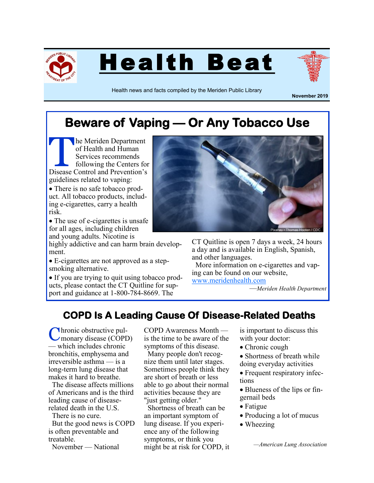





Health news and facts compiled by the Meriden Public Library

**November 2019**

## **Beware of Vaping — Or Any Tobacco Use**

The Meriden Department<br>
of Health and Human<br>
Services recommends<br>
following the Centers for<br>
Disease Control and Prevention's he Meriden Department of Health and Human Services recommends following the Centers for guidelines related to vaping:

• There is no safe tobacco product. All tobacco products, including e-cigarettes, carry a health risk.

• The use of e-cigarettes is unsafe for all ages, including children and young adults. Nicotine is

highly addictive and can harm brain development.

 E-cigarettes are not approved as a stepsmoking alternative.

• If you are trying to quit using tobacco products, please contact the CT Quitline for support and guidance at 1-800-784-8669. The



CT Quitline is open 7 days a week, 24 hours a day and is available in English, Spanish, and other languages.

 More information on e-cigarettes and vaping can be found on our website, [www.meridenhealth.com](http://www.meridenhealth.com)

—*Meriden Health Department*

## **COPD Is A Leading Cause Of Disease-Related Deaths**

Chronic obstructive pul-<br>
Cmonary disease (COPD) hronic obstructive pul-— which includes chronic bronchitis, emphysema and irreversible asthma — is a long-term lung disease that makes it hard to breathe.

 The disease affects millions of Americans and is the third leading cause of diseaserelated death in the U.S.

 There is no cure. But the good news is COPD is often preventable and treatable.

November — National

COPD Awareness Month is the time to be aware of the symptoms of this disease.

 Many people don't recognize them until later stages. Sometimes people think they are short of breath or less able to go about their normal activities because they are "just getting older."

 Shortness of breath can be an important symptom of lung disease. If you experience any of the following symptoms, or think you might be at risk for COPD, it is important to discuss this with your doctor:

Chronic cough

 Shortness of breath while doing everyday activities

• Frequent respiratory infections

• Blueness of the lips or fingernail beds

- Fatigue
- Producing a lot of mucus
- Wheezing

*—American Lung Association*